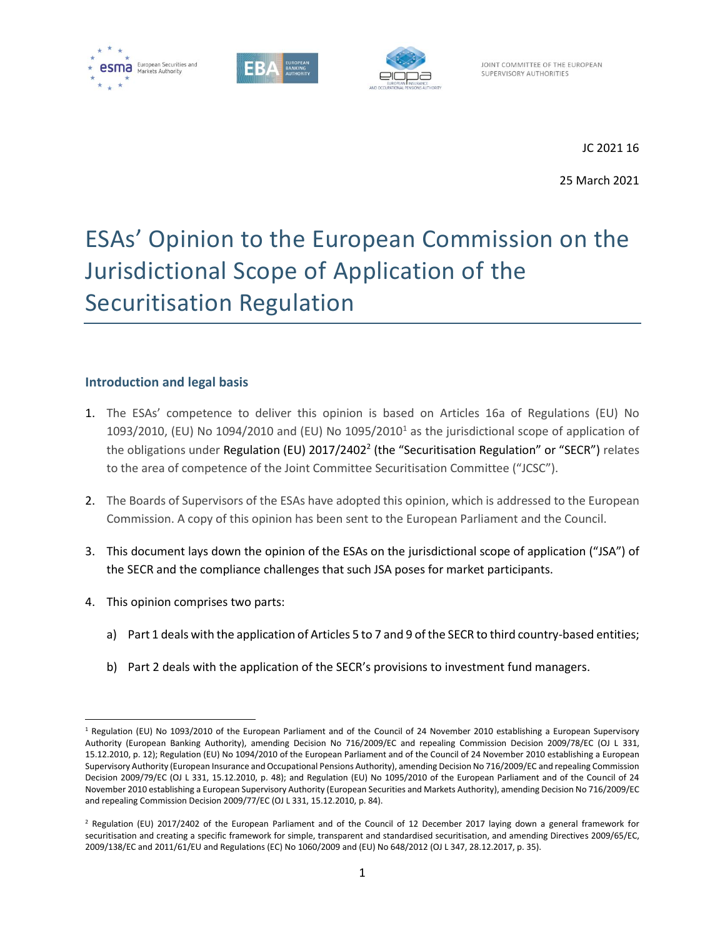





JOINT COMMITTEE OF THE EUROPEAN SUPERVISORY AUTHORITIES

JC 2021 16

25 March 2021

# ESAs' Opinion to the European Commission on the Jurisdictional Scope of Application of the Securitisation Regulation

#### **Introduction and legal basis**

- 1. The ESAs' competence to deliver this opinion is based on Articles 16a of Regulations (EU) No 1093/2010, (EU) No 1094/2010 and (EU) No  $1095/2010<sup>1</sup>$  as the jurisdictional scope of application of the obligations under Regulation (EU) 2017/2402<sup>2</sup> (the "Securitisation Regulation" or "SECR") relates to the area of competence of the Joint Committee Securitisation Committee ("JCSC").
- 2. The Boards of Supervisors of the ESAs have adopted this opinion, which is addressed to the European Commission. A copy of this opinion has been sent to the European Parliament and the Council.
- 3. This document lays down the opinion of the ESAs on the jurisdictional scope of application ("JSA") of the SECR and the compliance challenges that such JSA poses for market participants.
- 4. This opinion comprises two parts:
	- a) Part 1 deals with the application of Articles 5 to 7 and 9 of the SECR to third country-based entities;
	- b) Part 2 deals with the application of the SECR's provisions to investment fund managers.

 $1$  Regulation (EU) No 1093/2010 of the European Parliament and of the Council of 24 November 2010 establishing a European Supervisory Authority (European Banking Authority), amending Decision No 716/2009/EC and repealing Commission Decision 2009/78/EC (OJ L 331, 15.12.2010, p. 12); Regulation (EU) No 1094/2010 of the European Parliament and of the Council of 24 November 2010 establishing a European Supervisory Authority (European Insurance and Occupational Pensions Authority), amending Decision No 716/2009/EC and repealing Commission Decision 2009/79/EC (OJ L 331, 15.12.2010, p. 48); and Regulation (EU) No 1095/2010 of the European Parliament and of the Council of 24 November 2010 establishing a European Supervisory Authority (European Securities and Markets Authority), amending Decision No 716/2009/EC and repealing Commission Decision 2009/77/EC (OJ L 331, 15.12.2010, p. 84).

<sup>2</sup> Regulation (EU) 2017/2402 of the European Parliament and of the Council of 12 December 2017 laying down a general framework for securitisation and creating a specific framework for simple, transparent and standardised securitisation, and amending Directives 2009/65/EC, 2009/138/EC and 2011/61/EU and Regulations (EC) No 1060/2009 and (EU) No 648/2012 (OJ L 347, 28.12.2017, p. 35).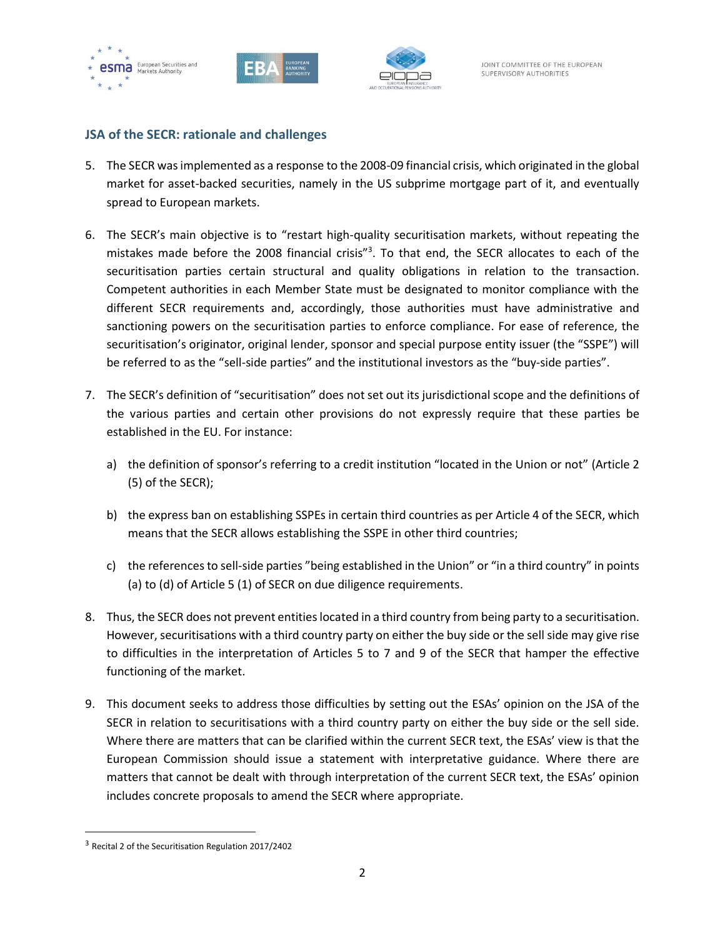





#### **JSA of the SECR: rationale and challenges**

- 5. The SECR was implemented as a response to the 2008-09 financial crisis, which originated in the global market for asset-backed securities, namely in the US subprime mortgage part of it, and eventually spread to European markets.
- 6. The SECR's main objective is to "restart high-quality securitisation markets, without repeating the mistakes made before the 2008 financial crisis"<sup>3</sup>. To that end, the SECR allocates to each of the securitisation parties certain structural and quality obligations in relation to the transaction. Competent authorities in each Member State must be designated to monitor compliance with the different SECR requirements and, accordingly, those authorities must have administrative and sanctioning powers on the securitisation parties to enforce compliance. For ease of reference, the securitisation's originator, original lender, sponsor and special purpose entity issuer (the "SSPE") will be referred to as the "sell-side parties" and the institutional investors as the "buy-side parties".
- 7. The SECR's definition of "securitisation" does not set out its jurisdictional scope and the definitions of the various parties and certain other provisions do not expressly require that these parties be established in the EU. For instance:
	- a) the definition of sponsor's referring to a credit institution "located in the Union or not" (Article 2 (5) of the SECR);
	- b) the express ban on establishing SSPEs in certain third countries as per Article 4 of the SECR, which means that the SECR allows establishing the SSPE in other third countries;
	- c) the references to sell-side parties "being established in the Union" or "in a third country" in points (a) to (d) of Article 5 (1) of SECR on due diligence requirements.
- 8. Thus, the SECR does not prevent entities located in a third country from being party to a securitisation. However, securitisations with a third country party on either the buy side or the sell side may give rise to difficulties in the interpretation of Articles 5 to 7 and 9 of the SECR that hamper the effective functioning of the market.
- 9. This document seeks to address those difficulties by setting out the ESAs' opinion on the JSA of the SECR in relation to securitisations with a third country party on either the buy side or the sell side. Where there are matters that can be clarified within the current SECR text, the ESAs' view is that the European Commission should issue a statement with interpretative guidance. Where there are matters that cannot be dealt with through interpretation of the current SECR text, the ESAs' opinion includes concrete proposals to amend the SECR where appropriate.

<sup>&</sup>lt;sup>3</sup> Recital 2 of the Securitisation Regulation 2017/2402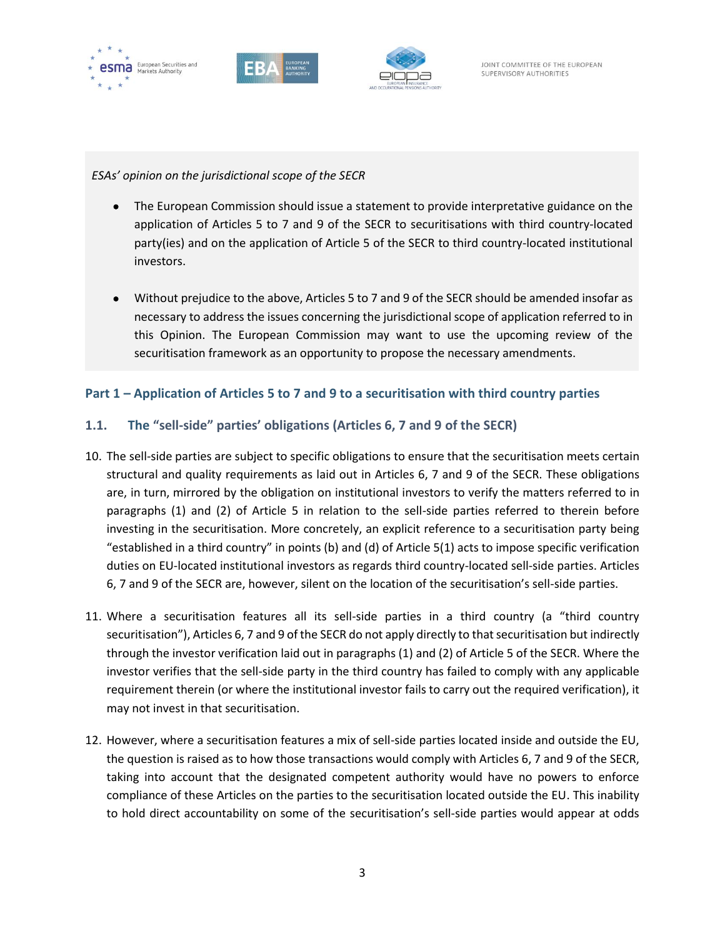





*ESAs' opinion on the jurisdictional scope of the SECR* 

- The European Commission should issue a statement to provide interpretative guidance on the application of Articles 5 to 7 and 9 of the SECR to securitisations with third country-located party(ies) and on the application of Article 5 of the SECR to third country-located institutional investors.
- Without prejudice to the above, Articles 5 to 7 and 9 of the SECR should be amended insofar as necessary to address the issues concerning the jurisdictional scope of application referred to in this Opinion. The European Commission may want to use the upcoming review of the securitisation framework as an opportunity to propose the necessary amendments.

## **Part 1 – Application of Articles 5 to 7 and 9 to a securitisation with third country parties**

## **1.1. The "sell-side" parties' obligations (Articles 6, 7 and 9 of the SECR)**

- 10. The sell-side parties are subject to specific obligations to ensure that the securitisation meets certain structural and quality requirements as laid out in Articles 6, 7 and 9 of the SECR. These obligations are, in turn, mirrored by the obligation on institutional investors to verify the matters referred to in paragraphs (1) and (2) of Article 5 in relation to the sell-side parties referred to therein before investing in the securitisation. More concretely, an explicit reference to a securitisation party being "established in a third country" in points (b) and (d) of Article 5(1) acts to impose specific verification duties on EU-located institutional investors as regards third country-located sell-side parties. Articles 6, 7 and 9 of the SECR are, however, silent on the location of the securitisation's sell-side parties.
- 11. Where a securitisation features all its sell-side parties in a third country (a "third country securitisation"), Articles 6, 7 and 9 of the SECR do not apply directly to that securitisation but indirectly through the investor verification laid out in paragraphs (1) and (2) of Article 5 of the SECR. Where the investor verifies that the sell-side party in the third country has failed to comply with any applicable requirement therein (or where the institutional investor fails to carry out the required verification), it may not invest in that securitisation.
- 12. However, where a securitisation features a mix of sell-side parties located inside and outside the EU, the question is raised as to how those transactions would comply with Articles 6, 7 and 9 of the SECR, taking into account that the designated competent authority would have no powers to enforce compliance of these Articles on the parties to the securitisation located outside the EU. This inability to hold direct accountability on some of the securitisation's sell-side parties would appear at odds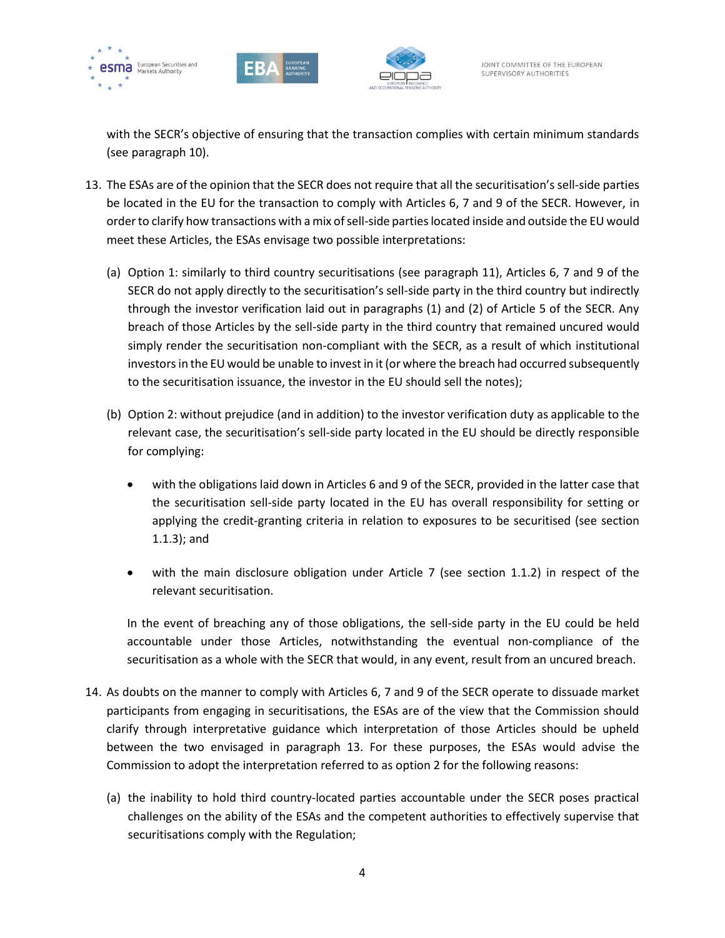





with the SECR's objective of ensuring that the transaction complies with certain minimum standards (see paragraph 10).

- 13. The ESAs are of the opinion that the SECR does not require that all the securitisation's sell-side parties be located in the EU for the transaction to comply with Articles 6, 7 and 9 of the SECR. However, in order to clarify how transactions with a mix of sell-side parties located inside and outside the EU would meet these Articles, the ESAs envisage two possible interpretations:
	- (a) Option 1: similarly to third country securitisations (see paragraph 11), Articles 6, 7 and 9 of the SECR do not apply directly to the securitisation's sell-side party in the third country but indirectly through the investor verification laid out in paragraphs (1) and (2) of Article 5 of the SECR. Any breach of those Articles by the sell-side party in the third country that remained uncured would simply render the securitisation non-compliant with the SECR, as a result of which institutional investors in the EU would be unable to invest in it (or where the breach had occurred subsequently to the securitisation issuance, the investor in the EU should sell the notes);
	- (b) Option 2: without prejudice (and in addition) to the investor verification duty as applicable to the relevant case, the securitisation's sell-side party located in the EU should be directly responsible for complying:
		- with the obligations laid down in Articles 6 and 9 of the SECR, provided in the latter case that the securitisation sell-side party located in the EU has overall responsibility for setting or applying the credit-granting criteria in relation to exposures to be securitised (see section 1.1.3); and
		- with the main disclosure obligation under Article 7 (see section 1.1.2) in respect of the relevant securitisation.

In the event of breaching any of those obligations, the sell-side party in the EU could be held accountable under those Articles, notwithstanding the eventual non-compliance of the securitisation as a whole with the SECR that would, in any event, result from an uncured breach.

- 14. As doubts on the manner to comply with Articles 6, 7 and 9 of the SECR operate to dissuade market participants from engaging in securitisations, the ESAs are of the view that the Commission should clarify through interpretative guidance which interpretation of those Articles should be upheld between the two envisaged in paragraph 13. For these purposes, the ESAs would advise the Commission to adopt the interpretation referred to as option 2 for the following reasons:
	- (a) the inability to hold third country-located parties accountable under the SECR poses practical challenges on the ability of the ESAs and the competent authorities to effectively supervise that securitisations comply with the Regulation;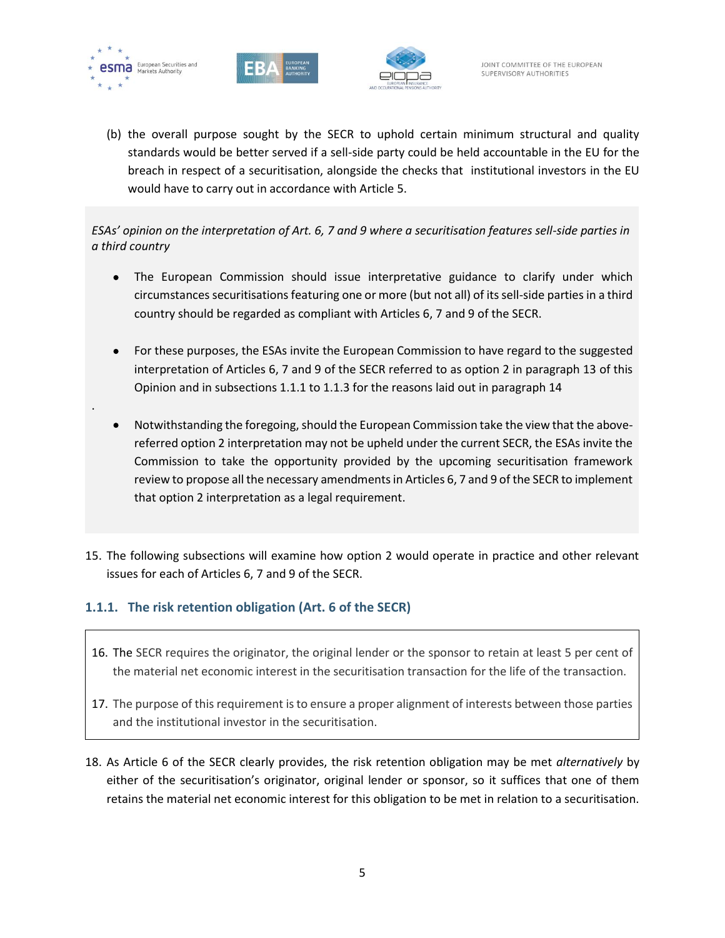

.





(b) the overall purpose sought by the SECR to uphold certain minimum structural and quality standards would be better served if a sell-side party could be held accountable in the EU for the breach in respect of a securitisation, alongside the checks that institutional investors in the EU would have to carry out in accordance with Article 5.

*ESAs' opinion on the interpretation of Art. 6, 7 and 9 where a securitisation features sell-side parties in a third country*

- The European Commission should issue interpretative guidance to clarify under which circumstances securitisations featuring one or more (but not all) of its sell-side parties in a third country should be regarded as compliant with Articles 6, 7 and 9 of the SECR.
- For these purposes, the ESAs invite the European Commission to have regard to the suggested interpretation of Articles 6, 7 and 9 of the SECR referred to as option 2 in paragraph 13 of this Opinion and in subsections 1.1.1 to 1.1.3 for the reasons laid out in paragraph 14
- Notwithstanding the foregoing, should the European Commission take the view that the abovereferred option 2 interpretation may not be upheld under the current SECR, the ESAs invite the Commission to take the opportunity provided by the upcoming securitisation framework review to propose all the necessary amendments in Articles 6, 7 and 9 of the SECR to implement that option 2 interpretation as a legal requirement.
- 15. The following subsections will examine how option 2 would operate in practice and other relevant issues for each of Articles 6, 7 and 9 of the SECR.

#### **1.1.1. The risk retention obligation (Art. 6 of the SECR)**

- 16. The SECR requires the originator, the original lender or the sponsor to retain at least 5 per cent of the material net economic interest in the securitisation transaction for the life of the transaction.
- 17. The purpose of this requirement is to ensure a proper alignment of interests between those parties and the institutional investor in the securitisation.
- 18. As Article 6 of the SECR clearly provides, the risk retention obligation may be met *alternatively* by either of the securitisation's originator, original lender or sponsor, so it suffices that one of them retains the material net economic interest for this obligation to be met in relation to a securitisation.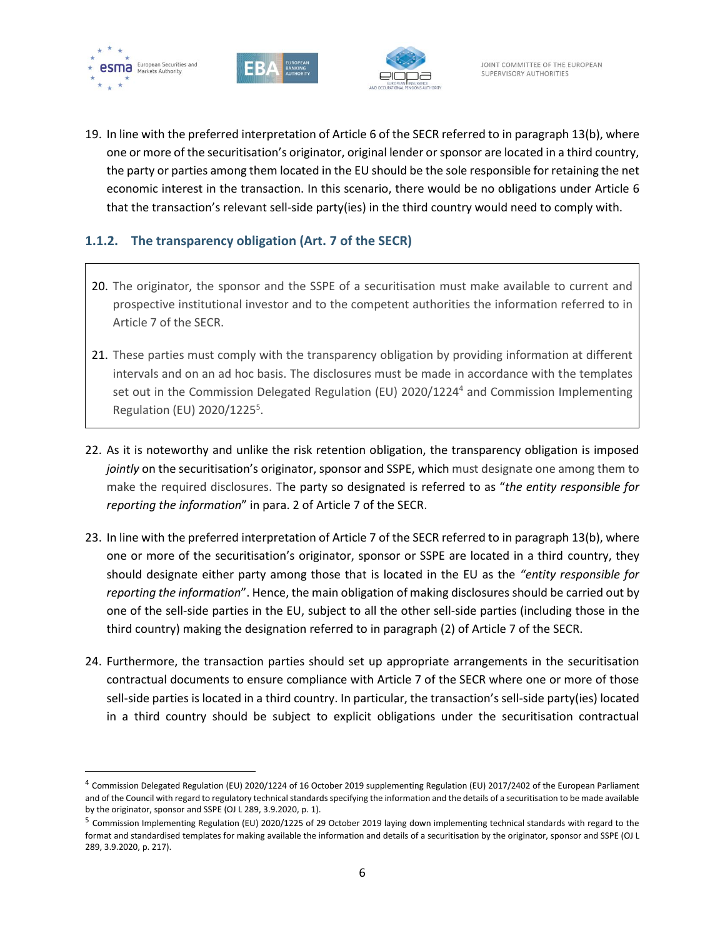





19. In line with the preferred interpretation of Article 6 of the SECR referred to in paragraph 13(b), where one or more of the securitisation's originator, original lender or sponsor are located in a third country, the party or parties among them located in the EU should be the sole responsible for retaining the net economic interest in the transaction. In this scenario, there would be no obligations under Article 6 that the transaction's relevant sell-side party(ies) in the third country would need to comply with.

## **1.1.2. The transparency obligation (Art. 7 of the SECR)**

- 20. The originator, the sponsor and the SSPE of a securitisation must make available to current and prospective institutional investor and to the competent authorities the information referred to in Article 7 of the SECR.
- 21. These parties must comply with the transparency obligation by providing information at different intervals and on an ad hoc basis. The disclosures must be made in accordance with the templates set out in the Commission Delegated Regulation (EU) 2020/1224<sup>4</sup> and Commission Implementing Regulation (EU) 2020/1225<sup>5</sup>.
- 22. As it is noteworthy and unlike the risk retention obligation, the transparency obligation is imposed *jointly* on the securitisation's originator, sponsor and SSPE, which must designate one among them to make the required disclosures. The party so designated is referred to as "*the entity responsible for reporting the information*" in para. 2 of Article 7 of the SECR.
- 23. In line with the preferred interpretation of Article 7 of the SECR referred to in paragraph 13(b), where one or more of the securitisation's originator, sponsor or SSPE are located in a third country, they should designate either party among those that is located in the EU as the *"entity responsible for reporting the information*". Hence, the main obligation of making disclosures should be carried out by one of the sell-side parties in the EU, subject to all the other sell-side parties (including those in the third country) making the designation referred to in paragraph (2) of Article 7 of the SECR.
- 24. Furthermore, the transaction parties should set up appropriate arrangements in the securitisation contractual documents to ensure compliance with Article 7 of the SECR where one or more of those sell-side parties is located in a third country. In particular, the transaction's sell-side party(ies) located in a third country should be subject to explicit obligations under the securitisation contractual

<sup>&</sup>lt;sup>4</sup> Commission Delegated Regulation (EU) 2020/1224 of 16 October 2019 supplementing Regulation (EU) 2017/2402 of the European Parliament and of the Council with regard to regulatory technical standards specifying the information and the details of a securitisation to be made available by the originator, sponsor and SSPE (OJ L 289, 3.9.2020, p. 1).

<sup>&</sup>lt;sup>5</sup> Commission Implementing Regulation (EU) 2020/1225 of 29 October 2019 laying down implementing technical standards with regard to the format and standardised templates for making available the information and details of a securitisation by the originator, sponsor and SSPE (OJ L 289, 3.9.2020, p. 217).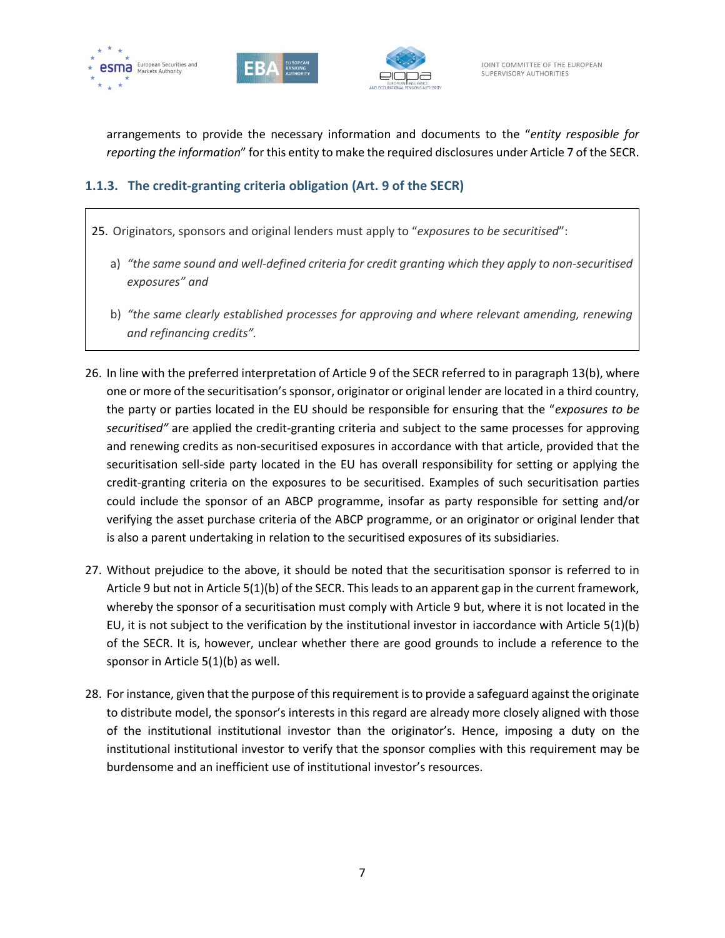





arrangements to provide the necessary information and documents to the "*entity resposible for reporting the information*" for this entity to make the required disclosures under Article 7 of the SECR.

# **1.1.3. The credit-granting criteria obligation (Art. 9 of the SECR)**

- 25. Originators, sponsors and original lenders must apply to "*exposures to be securitised*":
	- a) *"the same sound and well-defined criteria for credit granting which they apply to non-securitised exposures" and*
	- b) *"the same clearly established processes for approving and where relevant amending, renewing and refinancing credits".*
- 26. In line with the preferred interpretation of Article 9 of the SECR referred to in paragraph 13(b), where one or more of the securitisation's sponsor, originator or original lender are located in a third country, the party or parties located in the EU should be responsible for ensuring that the "*exposures to be securitised"* are applied the credit-granting criteria and subject to the same processes for approving and renewing credits as non-securitised exposures in accordance with that article, provided that the securitisation sell-side party located in the EU has overall responsibility for setting or applying the credit-granting criteria on the exposures to be securitised. Examples of such securitisation parties could include the sponsor of an ABCP programme, insofar as party responsible for setting and/or verifying the asset purchase criteria of the ABCP programme, or an originator or original lender that is also a parent undertaking in relation to the securitised exposures of its subsidiaries.
- 27. Without prejudice to the above, it should be noted that the securitisation sponsor is referred to in Article 9 but not in Article 5(1)(b) of the SECR. This leads to an apparent gap in the current framework, whereby the sponsor of a securitisation must comply with Article 9 but, where it is not located in the EU, it is not subject to the verification by the institutional investor in iaccordance with Article 5(1)(b) of the SECR. It is, however, unclear whether there are good grounds to include a reference to the sponsor in Article 5(1)(b) as well.
- 28. For instance, given that the purpose of this requirement is to provide a safeguard against the originate to distribute model, the sponsor's interests in this regard are already more closely aligned with those of the institutional institutional investor than the originator's. Hence, imposing a duty on the institutional institutional investor to verify that the sponsor complies with this requirement may be burdensome and an inefficient use of institutional investor's resources.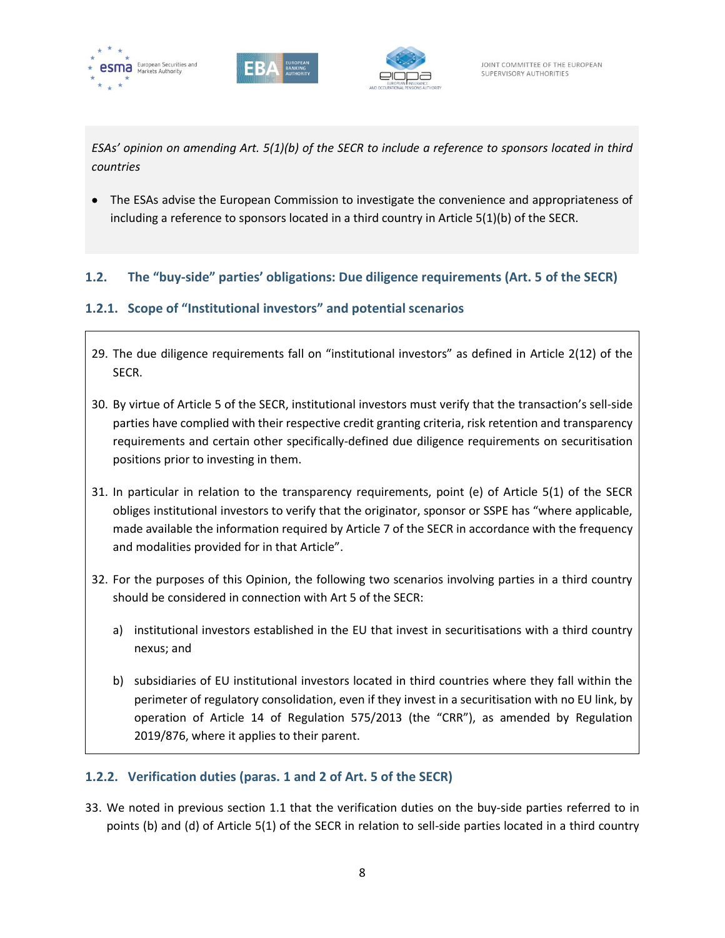





*ESAs' opinion on amending Art. 5(1)(b) of the SECR to include a reference to sponsors located in third countries*

• The ESAs advise the European Commission to investigate the convenience and appropriateness of including a reference to sponsors located in a third country in Article 5(1)(b) of the SECR.

## **1.2. The "buy-side" parties' obligations: Due diligence requirements (Art. 5 of the SECR)**

# **1.2.1. Scope of "Institutional investors" and potential scenarios**

- 29. The due diligence requirements fall on "institutional investors" as defined in Article 2(12) of the SECR.
- 30. By virtue of Article 5 of the SECR, institutional investors must verify that the transaction's sell-side parties have complied with their respective credit granting criteria, risk retention and transparency requirements and certain other specifically-defined due diligence requirements on securitisation positions prior to investing in them.
- 31. In particular in relation to the transparency requirements, point (e) of Article 5(1) of the SECR obliges institutional investors to verify that the originator, sponsor or SSPE has "where applicable, made available the information required by Article 7 of the SECR in accordance with the frequency and modalities provided for in that Article".
- 32. For the purposes of this Opinion, the following two scenarios involving parties in a third country should be considered in connection with Art 5 of the SECR:
	- a) institutional investors established in the EU that invest in securitisations with a third country nexus; and
	- b) subsidiaries of EU institutional investors located in third countries where they fall within the perimeter of regulatory consolidation, even if they invest in a securitisation with no EU link, by operation of Article 14 of Regulation 575/2013 (the "CRR"), as amended by Regulation 2019/876, where it applies to their parent.

# **1.2.2. Verification duties (paras. 1 and 2 of Art. 5 of the SECR)**

33. We noted in previous section 1.1 that the verification duties on the buy-side parties referred to in points (b) and (d) of Article 5(1) of the SECR in relation to sell-side parties located in a third country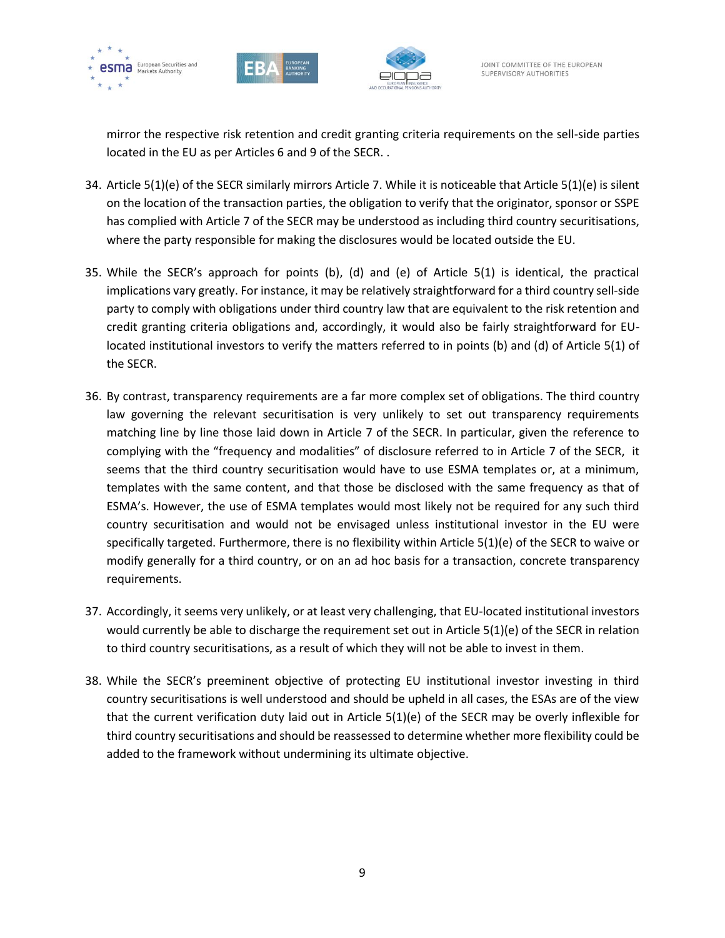





mirror the respective risk retention and credit granting criteria requirements on the sell-side parties located in the EU as per Articles 6 and 9 of the SECR. .

- 34. Article 5(1)(e) of the SECR similarly mirrors Article 7. While it is noticeable that Article 5(1)(e) is silent on the location of the transaction parties, the obligation to verify that the originator, sponsor or SSPE has complied with Article 7 of the SECR may be understood as including third country securitisations, where the party responsible for making the disclosures would be located outside the EU.
- 35. While the SECR's approach for points (b), (d) and (e) of Article 5(1) is identical, the practical implications vary greatly. For instance, it may be relatively straightforward for a third country sell-side party to comply with obligations under third country law that are equivalent to the risk retention and credit granting criteria obligations and, accordingly, it would also be fairly straightforward for EUlocated institutional investors to verify the matters referred to in points (b) and (d) of Article 5(1) of the SECR.
- 36. By contrast, transparency requirements are a far more complex set of obligations. The third country law governing the relevant securitisation is very unlikely to set out transparency requirements matching line by line those laid down in Article 7 of the SECR. In particular, given the reference to complying with the "frequency and modalities" of disclosure referred to in Article 7 of the SECR, it seems that the third country securitisation would have to use ESMA templates or, at a minimum, templates with the same content, and that those be disclosed with the same frequency as that of ESMA's. However, the use of ESMA templates would most likely not be required for any such third country securitisation and would not be envisaged unless institutional investor in the EU were specifically targeted. Furthermore, there is no flexibility within Article 5(1)(e) of the SECR to waive or modify generally for a third country, or on an ad hoc basis for a transaction, concrete transparency requirements.
- 37. Accordingly, it seems very unlikely, or at least very challenging, that EU-located institutional investors would currently be able to discharge the requirement set out in Article 5(1)(e) of the SECR in relation to third country securitisations, as a result of which they will not be able to invest in them.
- 38. While the SECR's preeminent objective of protecting EU institutional investor investing in third country securitisations is well understood and should be upheld in all cases, the ESAs are of the view that the current verification duty laid out in Article 5(1)(e) of the SECR may be overly inflexible for third country securitisations and should be reassessed to determine whether more flexibility could be added to the framework without undermining its ultimate objective.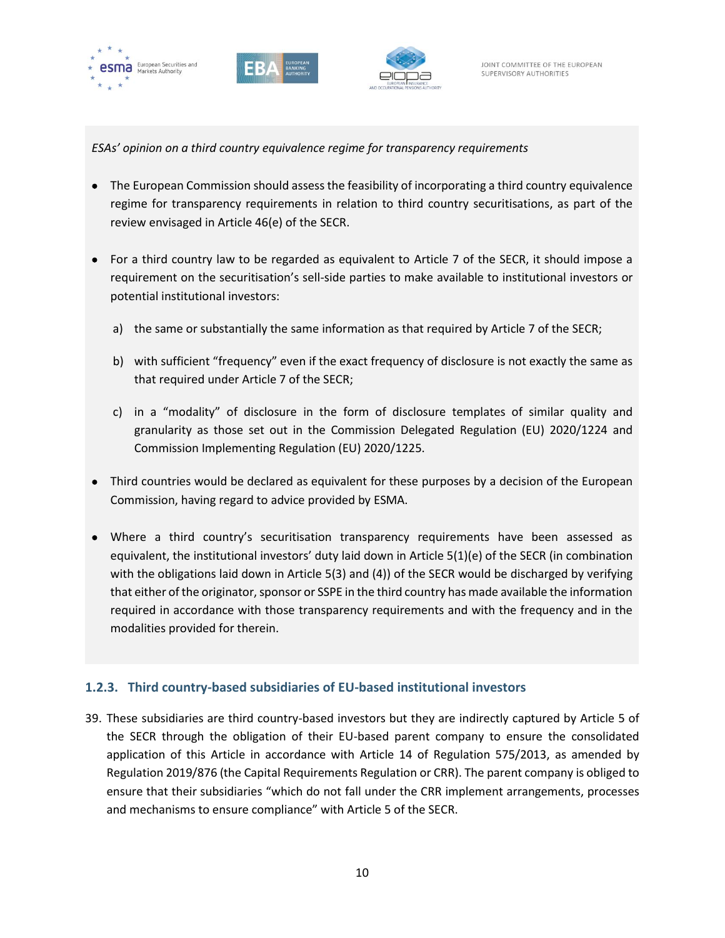





*ESAs' opinion on a third country equivalence regime for transparency requirements*

- The European Commission should assess the feasibility of incorporating a third country equivalence regime for transparency requirements in relation to third country securitisations, as part of the review envisaged in Article 46(e) of the SECR.
- For a third country law to be regarded as equivalent to Article 7 of the SECR, it should impose a requirement on the securitisation's sell-side parties to make available to institutional investors or potential institutional investors:
	- a) the same or substantially the same information as that required by Article 7 of the SECR;
	- b) with sufficient "frequency" even if the exact frequency of disclosure is not exactly the same as that required under Article 7 of the SECR;
	- c) in a "modality" of disclosure in the form of disclosure templates of similar quality and granularity as those set out in the Commission Delegated Regulation (EU) 2020/1224 and Commission Implementing Regulation (EU) 2020/1225.
- Third countries would be declared as equivalent for these purposes by a decision of the European Commission, having regard to advice provided by ESMA.
- Where a third country's securitisation transparency requirements have been assessed as equivalent, the institutional investors' duty laid down in Article 5(1)(e) of the SECR (in combination with the obligations laid down in Article 5(3) and (4)) of the SECR would be discharged by verifying that either of the originator, sponsor or SSPE in the third country has made available the information required in accordance with those transparency requirements and with the frequency and in the modalities provided for therein.

#### **1.2.3. Third country-based subsidiaries of EU-based institutional investors**

39. These subsidiaries are third country-based investors but they are indirectly captured by Article 5 of the SECR through the obligation of their EU-based parent company to ensure the consolidated application of this Article in accordance with Article 14 of Regulation 575/2013, as amended by Regulation 2019/876 (the Capital Requirements Regulation or CRR). The parent company is obliged to ensure that their subsidiaries "which do not fall under the CRR implement arrangements, processes and mechanisms to ensure compliance" with Article 5 of the SECR.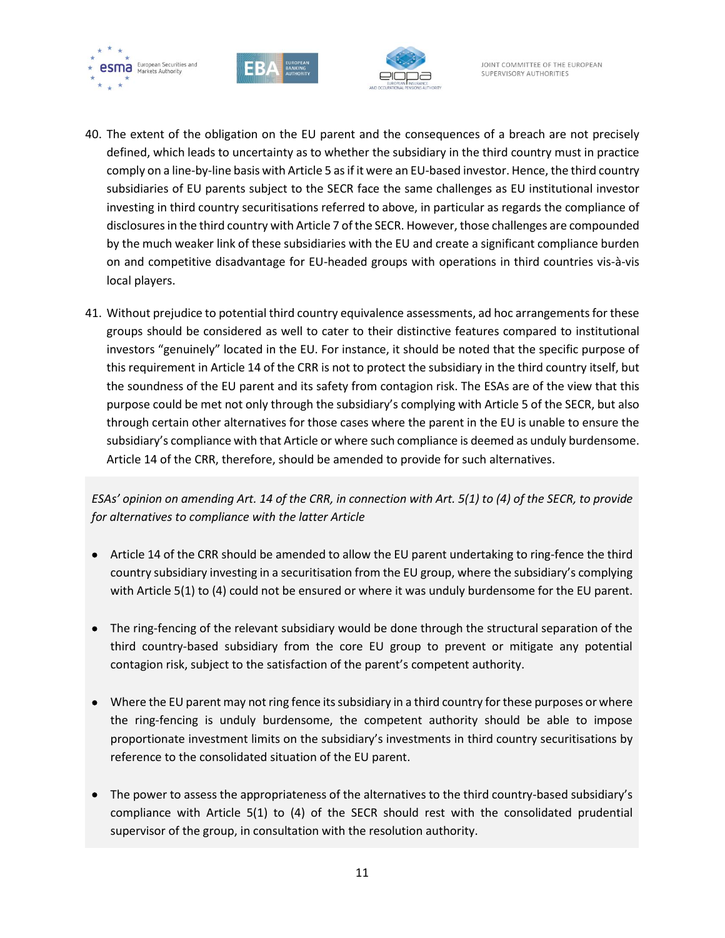





- 40. The extent of the obligation on the EU parent and the consequences of a breach are not precisely defined, which leads to uncertainty as to whether the subsidiary in the third country must in practice comply on a line-by-line basis with Article 5 as if it were an EU-based investor. Hence, the third country subsidiaries of EU parents subject to the SECR face the same challenges as EU institutional investor investing in third country securitisations referred to above, in particular as regards the compliance of disclosures in the third country with Article 7 of the SECR. However, those challenges are compounded by the much weaker link of these subsidiaries with the EU and create a significant compliance burden on and competitive disadvantage for EU-headed groups with operations in third countries vis-à-vis local players.
- 41. Without prejudice to potential third country equivalence assessments, ad hoc arrangements for these groups should be considered as well to cater to their distinctive features compared to institutional investors "genuinely" located in the EU. For instance, it should be noted that the specific purpose of this requirement in Article 14 of the CRR is not to protect the subsidiary in the third country itself, but the soundness of the EU parent and its safety from contagion risk. The ESAs are of the view that this purpose could be met not only through the subsidiary's complying with Article 5 of the SECR, but also through certain other alternatives for those cases where the parent in the EU is unable to ensure the subsidiary's compliance with that Article or where such compliance is deemed as unduly burdensome. Article 14 of the CRR, therefore, should be amended to provide for such alternatives.

*ESAs' opinion on amending Art. 14 of the CRR, in connection with Art. 5(1) to (4) of the SECR, to provide for alternatives to compliance with the latter Article*

- Article 14 of the CRR should be amended to allow the EU parent undertaking to ring-fence the third country subsidiary investing in a securitisation from the EU group, where the subsidiary's complying with Article 5(1) to (4) could not be ensured or where it was unduly burdensome for the EU parent.
- The ring-fencing of the relevant subsidiary would be done through the structural separation of the third country-based subsidiary from the core EU group to prevent or mitigate any potential contagion risk, subject to the satisfaction of the parent's competent authority.
- Where the EU parent may not ring fence its subsidiary in a third country for these purposes or where the ring-fencing is unduly burdensome, the competent authority should be able to impose proportionate investment limits on the subsidiary's investments in third country securitisations by reference to the consolidated situation of the EU parent.
- The power to assess the appropriateness of the alternatives to the third country-based subsidiary's compliance with Article 5(1) to (4) of the SECR should rest with the consolidated prudential supervisor of the group, in consultation with the resolution authority.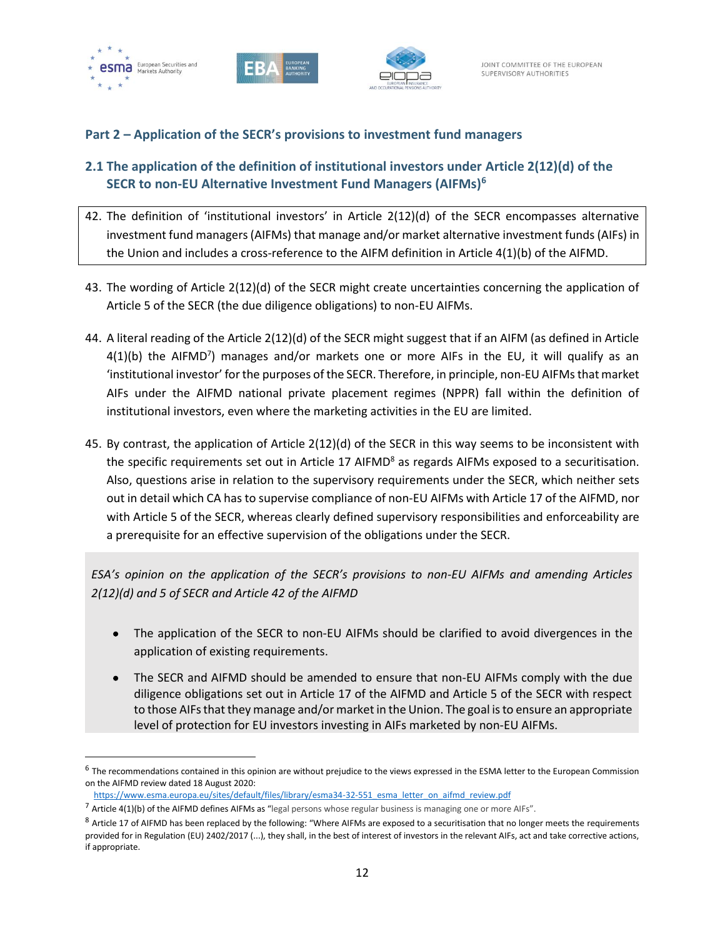



#### **Part 2 – Application of the SECR's provisions to investment fund managers**

# **2.1 The application of the definition of institutional investors under Article 2(12)(d) of the SECR to non-EU Alternative Investment Fund Managers (AIFMs)<sup>6</sup>**

- 42. The definition of 'institutional investors' in Article 2(12)(d) of the SECR encompasses alternative investment fund managers (AIFMs) that manage and/or market alternative investment funds (AIFs) in the Union and includes a cross-reference to the AIFM definition in Article 4(1)(b) of the AIFMD.
- 43. The wording of Article 2(12)(d) of the SECR might create uncertainties concerning the application of Article 5 of the SECR (the due diligence obligations) to non-EU AIFMs.
- 44. A literal reading of the Article 2(12)(d) of the SECR might suggest that if an AIFM (as defined in Article  $4(1)(b)$  the AIFMD<sup>7</sup>) manages and/or markets one or more AIFs in the EU, it will qualify as an 'institutional investor' for the purposes of the SECR. Therefore, in principle, non-EU AIFMs that market AIFs under the AIFMD national private placement regimes (NPPR) fall within the definition of institutional investors, even where the marketing activities in the EU are limited.
- 45. By contrast, the application of Article 2(12)(d) of the SECR in this way seems to be inconsistent with the specific requirements set out in Article 17 AIFMD $<sup>8</sup>$  as regards AIFMs exposed to a securitisation.</sup> Also, questions arise in relation to the supervisory requirements under the SECR, which neither sets out in detail which CA has to supervise compliance of non-EU AIFMs with Article 17 of the AIFMD, nor with Article 5 of the SECR, whereas clearly defined supervisory responsibilities and enforceability are a prerequisite for an effective supervision of the obligations under the SECR.

*ESA's opinion on the application of the SECR's provisions to non-EU AIFMs and amending Articles 2(12)(d) and 5 of SECR and Article 42 of the AIFMD*

- The application of the SECR to non-EU AIFMs should be clarified to avoid divergences in the application of existing requirements.
- The SECR and AIFMD should be amended to ensure that non-EU AIFMs comply with the due diligence obligations set out in Article 17 of the AIFMD and Article 5 of the SECR with respect to those AIFs that they manage and/or market in the Union. The goal is to ensure an appropriate level of protection for EU investors investing in AIFs marketed by non-EU AIFMs.

 $^6$  The recommendations contained in this opinion are without prejudice to the views expressed in the ESMA letter to the European Commission on the AIFMD review dated 18 August 2020:

[https://www.esma.europa.eu/sites/default/files/library/esma34-32-551\\_esma\\_letter\\_on\\_aifmd\\_review.pdf](https://www.esma.europa.eu/sites/default/files/library/esma34-32-551_esma_letter_on_aifmd_review.pdf)

 $^7$  Article 4(1)(b) of the AIFMD defines AIFMs as "legal persons whose regular business is managing one or more AIFs".

<sup>&</sup>lt;sup>8</sup> Article 17 of AIFMD has been replaced by the following: "Where AIFMs are exposed to a securitisation that no longer meets the requirements provided for in Regulation (EU) 2402/2017 (...), they shall, in the best of interest of investors in the relevant AIFs, act and take corrective actions, if appropriate.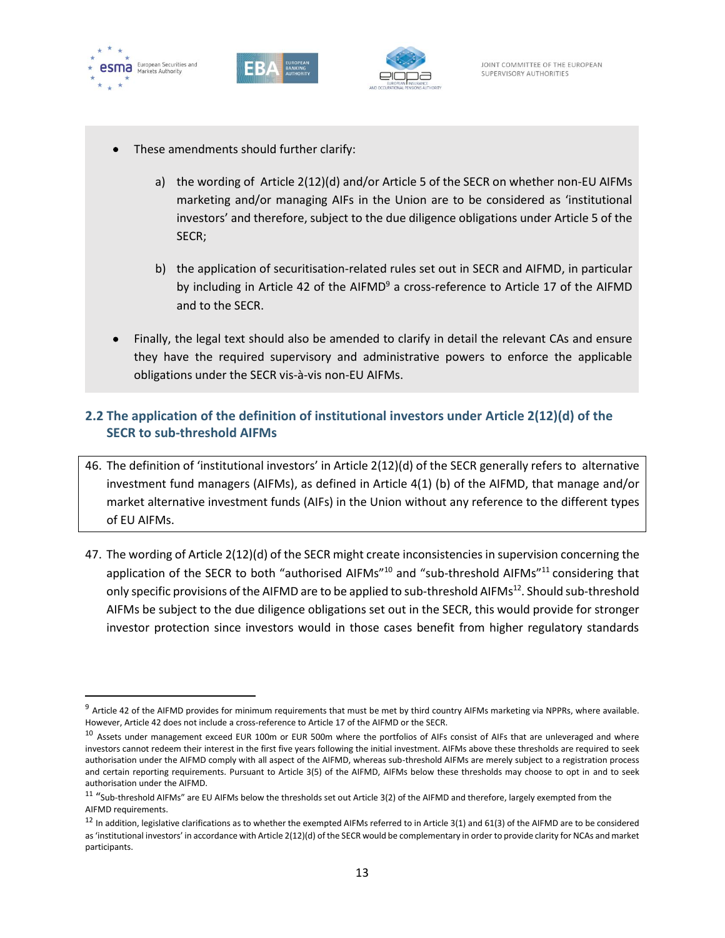





- These amendments should further clarify:
	- a) the wording of Article 2(12)(d) and/or Article 5 of the SECR on whether non-EU AIFMs marketing and/or managing AIFs in the Union are to be considered as 'institutional investors' and therefore, subject to the due diligence obligations under Article 5 of the SECR;
	- b) the application of securitisation-related rules set out in SECR and AIFMD, in particular by including in Article 42 of the AIFMD $9$  a cross-reference to Article 17 of the AIFMD and to the SECR.
- Finally, the legal text should also be amended to clarify in detail the relevant CAs and ensure they have the required supervisory and administrative powers to enforce the applicable obligations under the SECR vis-à-vis non-EU AIFMs.

# **2.2 The application of the definition of institutional investors under Article 2(12)(d) of the SECR to sub-threshold AIFMs**

- 46. The definition of 'institutional investors' in Article 2(12)(d) of the SECR generally refers to alternative investment fund managers (AIFMs), as defined in Article 4(1) (b) of the AIFMD, that manage and/or market alternative investment funds (AIFs) in the Union without any reference to the different types of EU AIFMs.
- 47. The wording of Article 2(12)(d) of the SECR might create inconsistencies in supervision concerning the application of the SECR to both "authorised AIFMs"<sup>10</sup> and "sub-threshold AIFMs"<sup>11</sup> considering that only specific provisions of the AIFMD are to be applied to sub-threshold AIFMs<sup>12</sup>. Should sub-threshold AIFMs be subject to the due diligence obligations set out in the SECR, this would provide for stronger investor protection since investors would in those cases benefit from higher regulatory standards

 $9$  Article 42 of the AIFMD provides for minimum requirements that must be met by third country AIFMs marketing via NPPRs, where available. However, Article 42 does not include a cross-reference to Article 17 of the AIFMD or the SECR.

<sup>&</sup>lt;sup>10</sup> Assets under management exceed EUR 100m or EUR 500m where the portfolios of AIFs consist of AIFs that are unleveraged and where investors cannot redeem their interest in the first five years following the initial investment. AIFMs above these thresholds are required to seek authorisation under the AIFMD comply with all aspect of the AIFMD, whereas sub-threshold AIFMs are merely subject to a registration process and certain reporting requirements. Pursuant to Article 3(5) of the AIFMD, AIFMs below these thresholds may choose to opt in and to seek authorisation under the AIFMD.

 $^{11}$  "Sub-threshold AIFMs" are EU AIFMs below the thresholds set out Article 3(2) of the AIFMD and therefore, largely exempted from the AIFMD requirements.

 $12$  In addition, legislative clarifications as to whether the exempted AIFMs referred to in Article 3(1) and 61(3) of the AIFMD are to be considered as 'institutional investors' in accordance with Article 2(12)(d) of the SECR would be complementary in order to provide clarity for NCAs and market participants.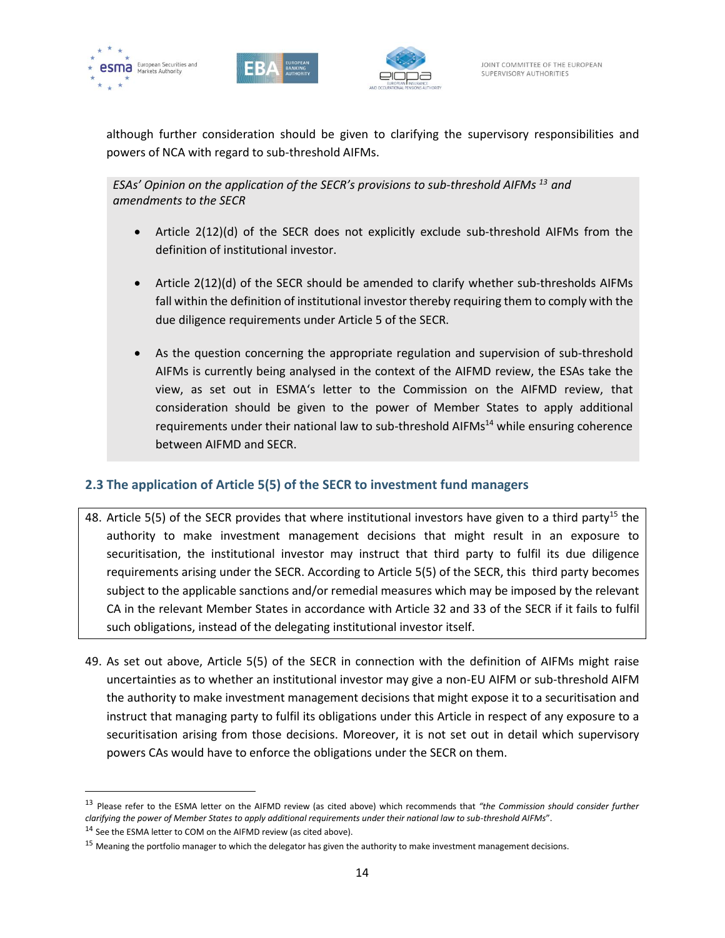





although further consideration should be given to clarifying the supervisory responsibilities and powers of NCA with regard to sub-threshold AIFMs.

*ESAs' Opinion on the application of the SECR's provisions to sub-threshold AIFMs <sup>13</sup> and amendments to the SECR*

- Article 2(12)(d) of the SECR does not explicitly exclude sub-threshold AIFMs from the definition of institutional investor.
- Article 2(12)(d) of the SECR should be amended to clarify whether sub-thresholds AIFMs fall within the definition of institutional investor thereby requiring them to comply with the due diligence requirements under Article 5 of the SECR.
- As the question concerning the appropriate regulation and supervision of sub-threshold AIFMs is currently being analysed in the context of the AIFMD review, the ESAs take the view, as set out in ESMA's letter to the Commission on the AIFMD review, that consideration should be given to the power of Member States to apply additional requirements under their national law to sub-threshold  $AIFMs<sup>14</sup>$  while ensuring coherence between AIFMD and SECR.

# **2.3 The application of Article 5(5) of the SECR to investment fund managers**

- 48. Article 5(5) of the SECR provides that where institutional investors have given to a third party<sup>15</sup> the authority to make investment management decisions that might result in an exposure to securitisation, the institutional investor may instruct that third party to fulfil its due diligence requirements arising under the SECR. According to Article 5(5) of the SECR, this third party becomes subject to the applicable sanctions and/or remedial measures which may be imposed by the relevant CA in the relevant Member States in accordance with Article 32 and 33 of the SECR if it fails to fulfil such obligations, instead of the delegating institutional investor itself.
- 49. As set out above, Article 5(5) of the SECR in connection with the definition of AIFMs might raise uncertainties as to whether an institutional investor may give a non-EU AIFM or sub-threshold AIFM the authority to make investment management decisions that might expose it to a securitisation and instruct that managing party to fulfil its obligations under this Article in respect of any exposure to a securitisation arising from those decisions. Moreover, it is not set out in detail which supervisory powers CAs would have to enforce the obligations under the SECR on them.

<sup>13</sup> Please refer to the ESMA letter on the AIFMD review (as cited above) which recommends that *"the Commission should consider further clarifying the power of Member States to apply additional requirements under their national law to sub-threshold AIFMs*".

 $14$  See the ESMA letter to COM on the AIFMD review (as cited above).

 $15$  Meaning the portfolio manager to which the delegator has given the authority to make investment management decisions.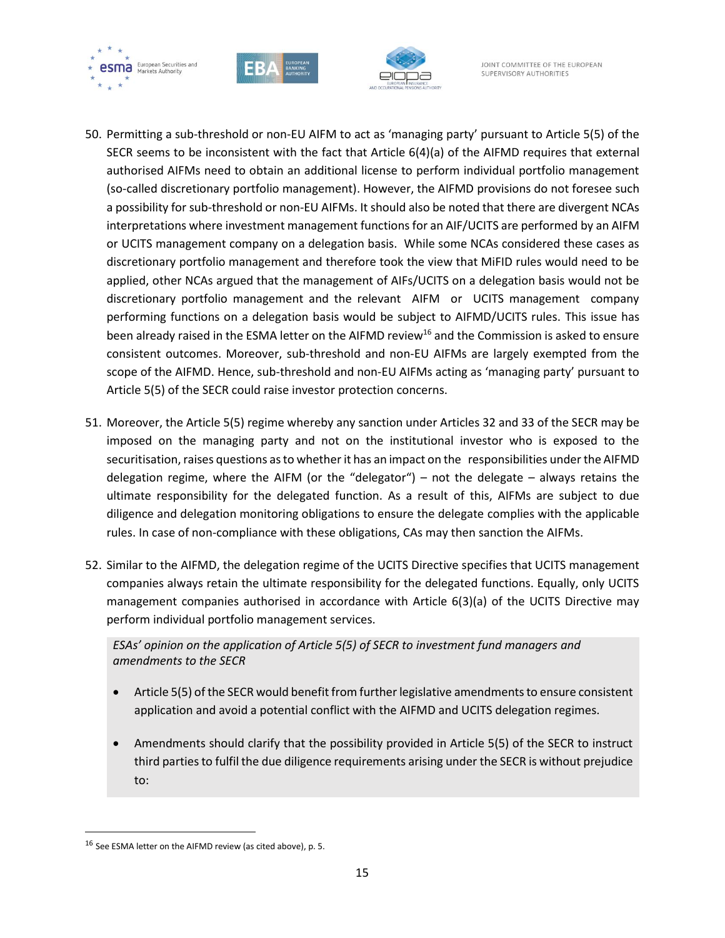





- 50. Permitting a sub-threshold or non-EU AIFM to act as 'managing party' pursuant to Article 5(5) of the SECR seems to be inconsistent with the fact that Article 6(4)(a) of the AIFMD requires that external authorised AIFMs need to obtain an additional license to perform individual portfolio management (so-called discretionary portfolio management). However, the AIFMD provisions do not foresee such a possibility for sub-threshold or non-EU AIFMs. It should also be noted that there are divergent NCAs interpretations where investment management functions for an AIF/UCITS are performed by an AIFM or UCITS management company on a delegation basis. While some NCAs considered these cases as discretionary portfolio management and therefore took the view that MiFID rules would need to be applied, other NCAs argued that the management of AIFs/UCITS on a delegation basis would not be discretionary portfolio management and the relevant AIFM or UCITS management company performing functions on a delegation basis would be subject to AIFMD/UCITS rules. This issue has been already raised in the ESMA letter on the AIFMD review<sup>16</sup> and the Commission is asked to ensure consistent outcomes. Moreover, sub-threshold and non-EU AIFMs are largely exempted from the scope of the AIFMD. Hence, sub-threshold and non-EU AIFMs acting as 'managing party' pursuant to Article 5(5) of the SECR could raise investor protection concerns.
- 51. Moreover, the Article 5(5) regime whereby any sanction under Articles 32 and 33 of the SECR may be imposed on the managing party and not on the institutional investor who is exposed to the securitisation, raises questions as to whether it has an impact on the responsibilities under the AIFMD delegation regime, where the AIFM (or the "delegator") – not the delegate – always retains the ultimate responsibility for the delegated function. As a result of this, AIFMs are subject to due diligence and delegation monitoring obligations to ensure the delegate complies with the applicable rules. In case of non-compliance with these obligations, CAs may then sanction the AIFMs.
- 52. Similar to the AIFMD, the delegation regime of the UCITS Directive specifies that UCITS management companies always retain the ultimate responsibility for the delegated functions. Equally, only UCITS management companies authorised in accordance with Article 6(3)(a) of the UCITS Directive may perform individual portfolio management services.

*ESAs' opinion on the application of Article 5(5) of SECR to investment fund managers and amendments to the SECR*

- Article 5(5) of the SECR would benefit from further legislative amendments to ensure consistent application and avoid a potential conflict with the AIFMD and UCITS delegation regimes.
- Amendments should clarify that the possibility provided in Article 5(5) of the SECR to instruct third parties to fulfil the due diligence requirements arising under the SECR is without prejudice to:

 $^{16}$  See ESMA letter on the AIFMD review (as cited above), p. 5.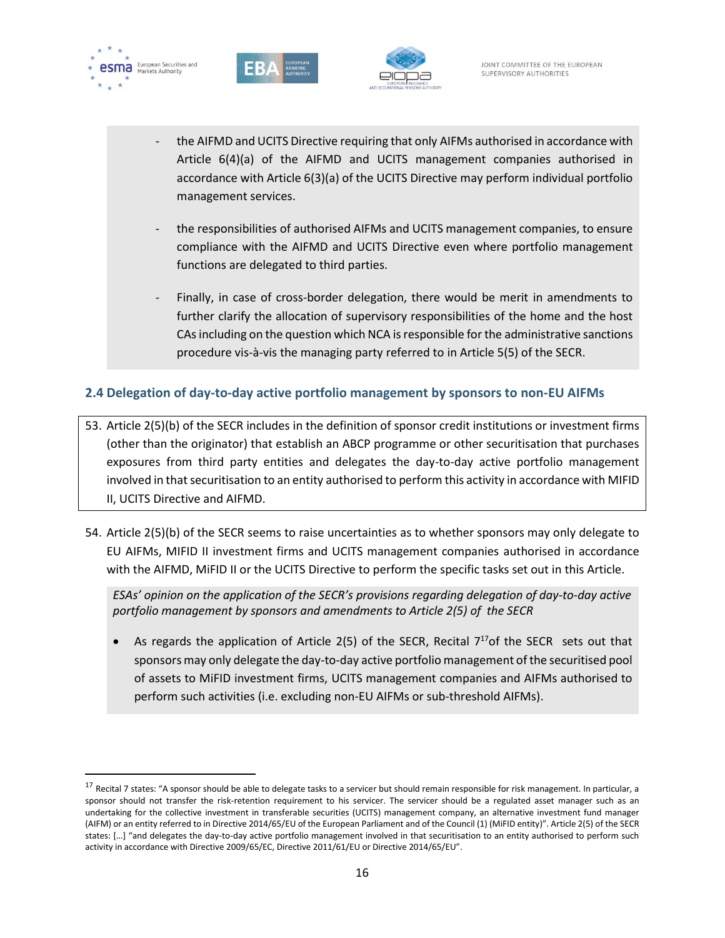





- the AIFMD and UCITS Directive requiring that only AIFMs authorised in accordance with Article 6(4)(a) of the AIFMD and UCITS management companies authorised in accordance with Article 6(3)(a) of the UCITS Directive may perform individual portfolio management services.
- the responsibilities of authorised AIFMs and UCITS management companies, to ensure compliance with the AIFMD and UCITS Directive even where portfolio management functions are delegated to third parties.
- Finally, in case of cross-border delegation, there would be merit in amendments to further clarify the allocation of supervisory responsibilities of the home and the host CAs including on the question which NCA is responsible for the administrative sanctions procedure vis-à-vis the managing party referred to in Article 5(5) of the SECR.

## **2.4 Delegation of day-to-day active portfolio management by sponsors to non-EU AIFMs**

- 53. Article 2(5)(b) of the SECR includes in the definition of sponsor credit institutions or investment firms (other than the originator) that establish an ABCP programme or other securitisation that purchases exposures from third party entities and delegates the day-to-day active portfolio management involved in that securitisation to an entity authorised to perform this activity in accordance with MIFID II, UCITS Directive and AIFMD.
- 54. Article 2(5)(b) of the SECR seems to raise uncertainties as to whether sponsors may only delegate to EU AIFMs, MIFID II investment firms and UCITS management companies authorised in accordance with the AIFMD, MiFID II or the UCITS Directive to perform the specific tasks set out in this Article.

*ESAs' opinion on the application of the SECR's provisions regarding delegation of day-to-day active portfolio management by sponsors and amendments to Article 2(5) of the SECR*

• As regards the application of Article 2(5) of the SECR, Recital  $7^{17}$ of the SECR sets out that sponsors may only delegate the day-to-day active portfolio management of the securitised pool of assets to MiFID investment firms, UCITS management companies and AIFMs authorised to perform such activities (i.e. excluding non-EU AIFMs or sub-threshold AIFMs).

<sup>&</sup>lt;sup>17</sup> Recital 7 states: "A sponsor should be able to delegate tasks to a servicer but should remain responsible for risk management. In particular, a sponsor should not transfer the risk-retention requirement to his servicer. The servicer should be a regulated asset manager such as an undertaking for the collective investment in transferable securities (UCITS) management company, an alternative investment fund manager (AIFM) or an entity referred to in Directive 2014/65/EU of the European Parliament and of the Council (1) (MiFID entity)". Article 2(5) of the SECR states: […] "and delegates the day-to-day active portfolio management involved in that securitisation to an entity authorised to perform such activity in accordance with Directive 2009/65/EC, Directive 2011/61/EU or Directive 2014/65/EU".